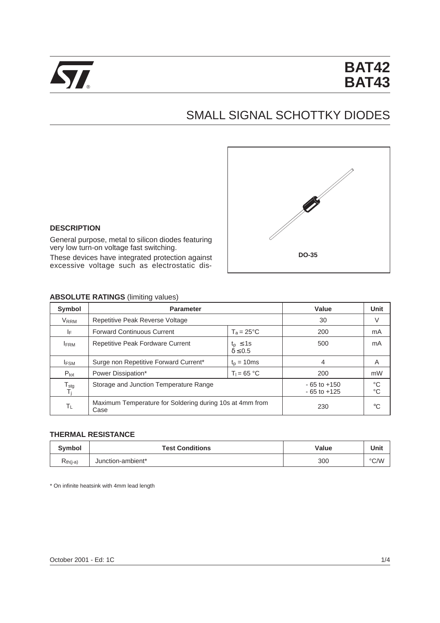

# SMALL SIGNAL SCHOTTKY DIODES



#### **DESCRIPTION**

General purpose, metal to silicon diodes featuring very low turn-on voltage fast switching.

These devices have integrated protection against excessive voltage such as electrostatic dis-

## **ABSOLUTE RATINGS** (limiting values)

| Symbol                                | <b>Parameter</b>                                                       |                     | Value                              | <b>Unit</b>                |
|---------------------------------------|------------------------------------------------------------------------|---------------------|------------------------------------|----------------------------|
| V <sub>RRM</sub>                      | Repetitive Peak Reverse Voltage                                        |                     | 30                                 | V                          |
| ΙF                                    | <b>Forward Continuous Current</b>                                      | $T_a = 25^{\circ}C$ |                                    |                            |
| <b>IFRM</b>                           | Repetitive Peak Fordware Current<br>$t_p \leq 1s$<br>$\delta \leq 0.5$ |                     | 500                                | mA                         |
| <b>IFSM</b>                           | Surge non Repetitive Forward Current*                                  | $tp = 10ms$         | 4                                  | A                          |
| $P_{\text{tot}}$                      | $T_1 = 65 °C$<br>Power Dissipation*                                    |                     | 200                                | mW                         |
| $\frac{T_{\text{stg}}}{T_{\text{i}}}$ | Storage and Junction Temperature Range                                 |                     | $-65$ to $+150$<br>$-65$ to $+125$ | $^{\circ}C$<br>$^{\circ}C$ |
| ΤL                                    | Maximum Temperature for Soldering during 10s at 4mm from<br>Case       |                     | 230                                | °C                         |

#### **THERMAL RESISTANCE**

| <b>Symbol</b> | <b>Test Conditions</b> | Value | Unit |
|---------------|------------------------|-------|------|
| Kth(j-a)      | Junction-ambient*      | 300   | °C/W |

\* On infinite heatsink with 4mm lead length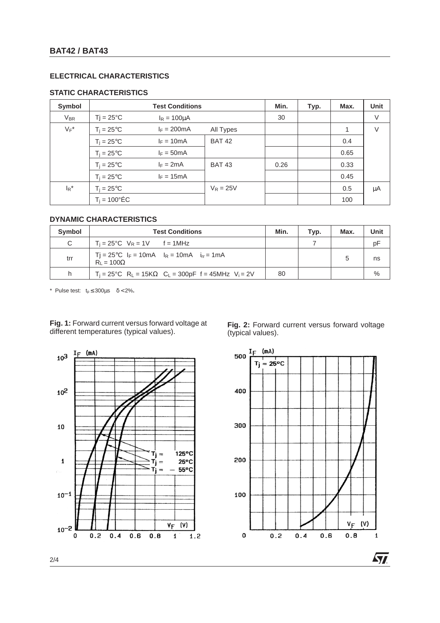## **ELECTRICAL CHARACTERISTICS**

# **STATIC CHARACTERISTICS**

| Symbol                      |                        | <b>Test Conditions</b> |               | Min. | Typ. | Max. | <b>Unit</b> |
|-----------------------------|------------------------|------------------------|---------------|------|------|------|-------------|
| $V_{BR}$                    | $Tj = 25^{\circ}C$     | $I_R = 100 \mu A$      |               | 30   |      |      | V           |
| $V_F^*$                     | $T_i = 25^{\circ}C$    | $I_F = 200mA$          | All Types     |      |      | 1    | V           |
|                             | $T_i = 25^{\circ}C$    | $I_F = 10mA$           | <b>BAT 42</b> |      |      | 0.4  |             |
|                             | $T_i = 25^{\circ}C$    | $I_F = 50mA$           |               |      |      | 0.65 |             |
|                             | $T_i = 25^{\circ}C$    | $I_F = 2mA$            | <b>BAT 43</b> | 0.26 |      | 0.33 |             |
|                             | $T_i = 25^{\circ}C$    | $I_F = 15mA$           |               |      |      | 0.45 |             |
| $\mathsf{I}_{\mathsf{R}}^*$ | $T_i = 25^{\circ}C$    |                        | $V_R = 25V$   |      |      | 0.5  | μA          |
|                             | $T_i = 100^{\circ}$ ÉC |                        |               |      |      | 100  |             |

# **DYNAMIC CHARACTERISTICS**

| Symbol | <b>Test Conditions</b>                                                                                   |    | Typ. | Max. | Unit |
|--------|----------------------------------------------------------------------------------------------------------|----|------|------|------|
| C      | $T_i = 25^{\circ}C$ $V_R = 1V$ $f = 1MHz$                                                                |    |      |      | pF   |
| trr    | $Ti = 25^{\circ}C$ I <sub>F</sub> = 10mA I <sub>R</sub> = 10mA i <sub>F</sub> = 1mA<br>$R_1 = 100\Omega$ |    |      |      | ns   |
| h      | $T_i = 25^{\circ}C$ R <sub>L</sub> = 15KΩ C <sub>L</sub> = 300pF f = 45MHz V <sub>i</sub> = 2V           | 80 |      |      | %    |

\* Pulse test:  $t_0 \le 300 \mu s$   $\delta < 2\%$ .

**Fig. 1:** Forward current versus forward voltage at different temperatures (typical values). **Fig. 2:** Forward current versus forward voltage



(typical values).

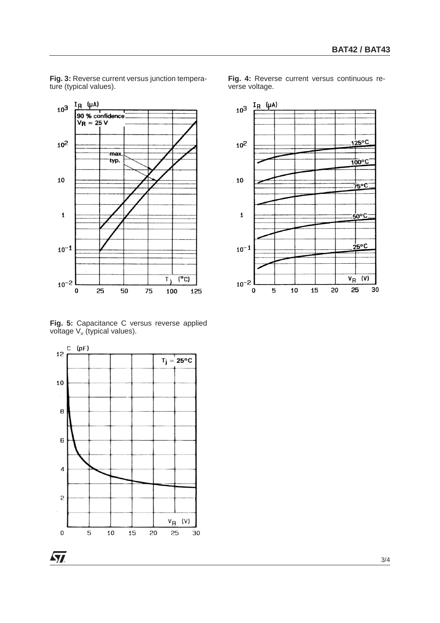$I_R$  (µA)  $10^{3}$  $90\%$  confidence<br>V<sub>R</sub> = 25 V  $10<sup>2</sup>$ max typ. 10

**Fig. 3:** Reverse current versus junction tempera-

ture (typical values).

 $\mathbf{1}$ 

 $10^{-1}$ 

 $10^{-2}$ 

0

25

**Fig. 5:** Capacitance C versus reverse applied voltage  $\mathsf{V}_{\mathsf{R}}$  (typical values).

50

 $\overline{(^{\circ}C)}$ 

125

 $\overline{\tau_i}$ 

100

75

 $(pF)$ С  $12$  $T_j = 25^{\circ}C$ 10  $\bf{B}$ 6  $\overline{4}$  $\overline{c}$  $V_{\mathsf{R}}$  (V)  $\mathbf 0$ 5 10 15 20 25 30 **Fig. 4:** Reverse current versus continuous reverse voltage.





 $\sim$  3/4